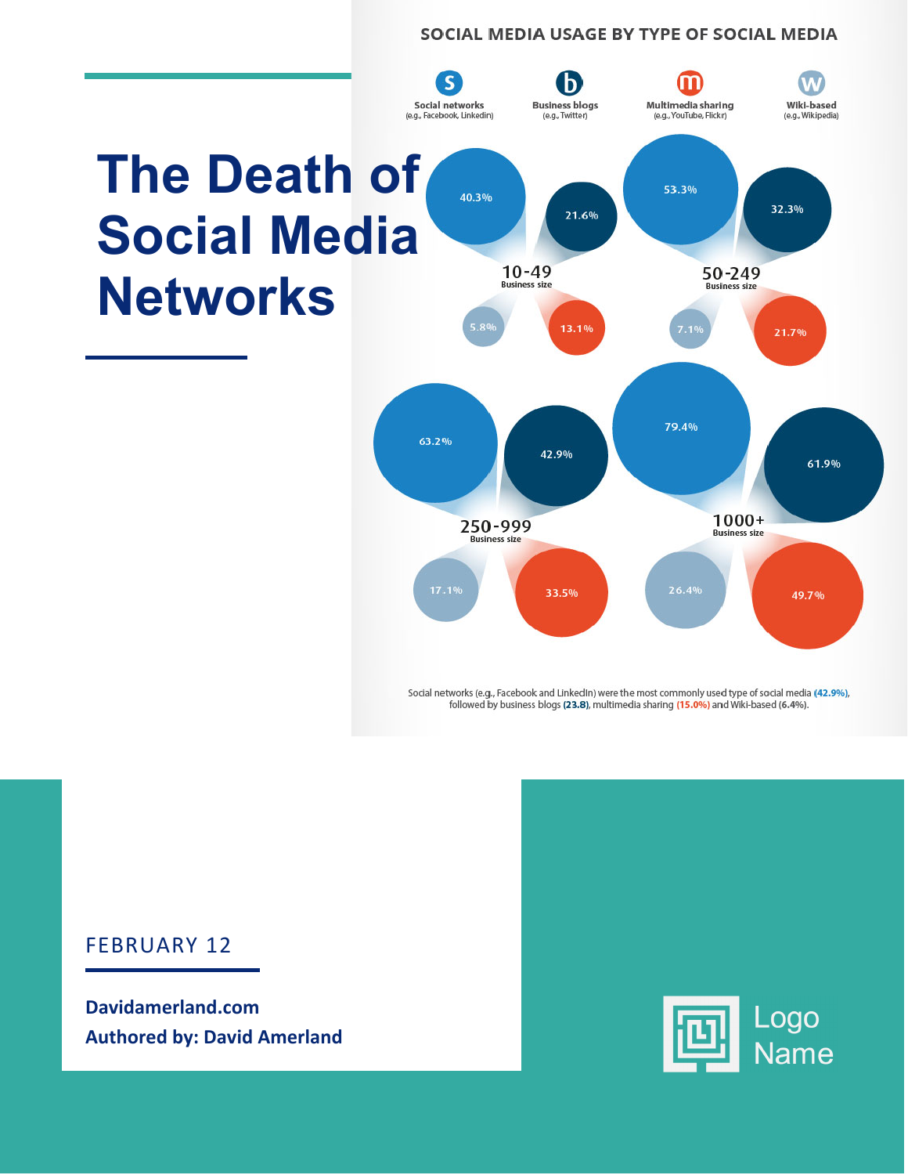#### SOCIAL MEDIA USAGE BY TYPE OF SOCIAL MEDIA



Social networks (e.g., Facebook and LinkedIn) were the most commonly used type of social media (42.9%), followed by business blogs (23.8), multimedia sharing (15.0%) and Wiki-based (6.4%).

#### FEBRUARY 12

**Davidamerland.com Authored by: David Amerland** 

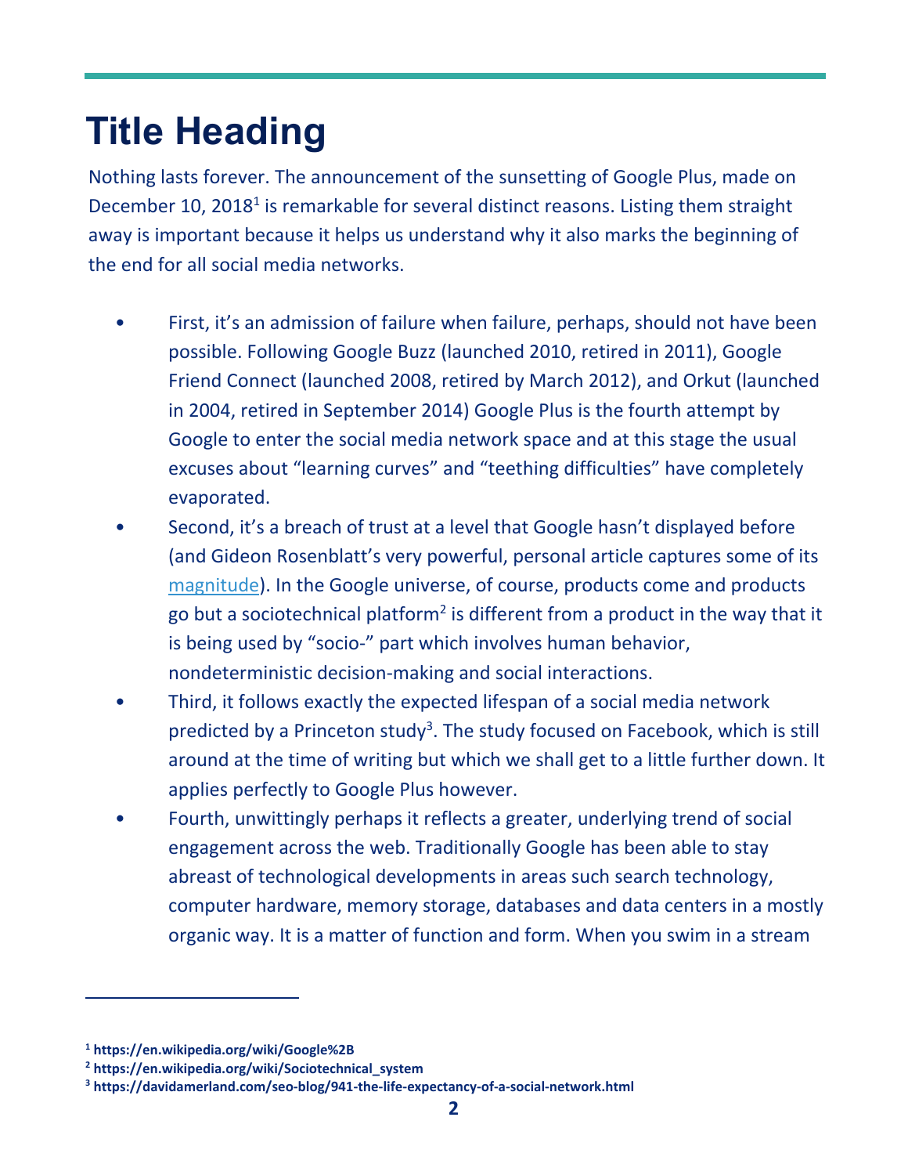# **Title Heading**

Nothing lasts forever. The announcement of the sunsetting of Google Plus, made on December 10, 2018<sup>1</sup> is remarkable for several distinct reasons. Listing them straight away is important because it helps us understand why it also marks the beginning of the end for all social media networks.

- First, it's an admission of failure when failure, perhaps, should not have been possible. Following Google Buzz (launched 2010, retired in 2011), Google Friend Connect (launched 2008, retired by March 2012), and Orkut (launched in 2004, retired in September 2014) Google Plus is the fourth attempt by Google to enter the social media network space and at this stage the usual excuses about "learning curves" and "teething difficulties" have completely evaporated.
- Second, it's a breach of trust at a level that Google hasn't displayed before (and Gideon Rosenblatt's very powerful, personal article captures some of its [magnitude\)](https://www.the-vital-edge.com/fall-of-google-plus/). In the Google universe, of course, products come and products go but a sociotechnical platform<sup>2</sup> is different from a product in the way that it is being used by "socio‐" part which involves human behavior, nondeterministic decision‐making and social interactions.
- Third, it follows exactly the expected lifespan of a social media network predicted by a Princeton study<sup>3</sup>. The study focused on Facebook, which is still around at the time of writing but which we shall get to a little further down. It applies perfectly to Google Plus however.
- Fourth, unwittingly perhaps it reflects a greater, underlying trend of social engagement across the web. Traditionally Google has been able to stay abreast of technological developments in areas such search technology, computer hardware, memory storage, databases and data centers in a mostly organic way. It is a matter of function and form. When you swim in a stream

**<sup>1</sup> <https://en.wikipedia.org/wiki/Google%2B>**

**<sup>2</sup>  [https://en.wikipedia.org/wiki/Sociotechnical\\_system](https://en.wikipedia.org/wiki/Sociotechnical_system)** 

**<sup>3</sup>  [https://davidamerland.com/seo‐blog/941‐the‐life‐expectancy‐of‐a‐social‐network.html](https://davidamerland.com/seo%E2%80%90blog/941%E2%80%90the%E2%80%90life%E2%80%90expectancy%E2%80%90of%E2%80%90a%E2%80%90social%E2%80%90network.html)**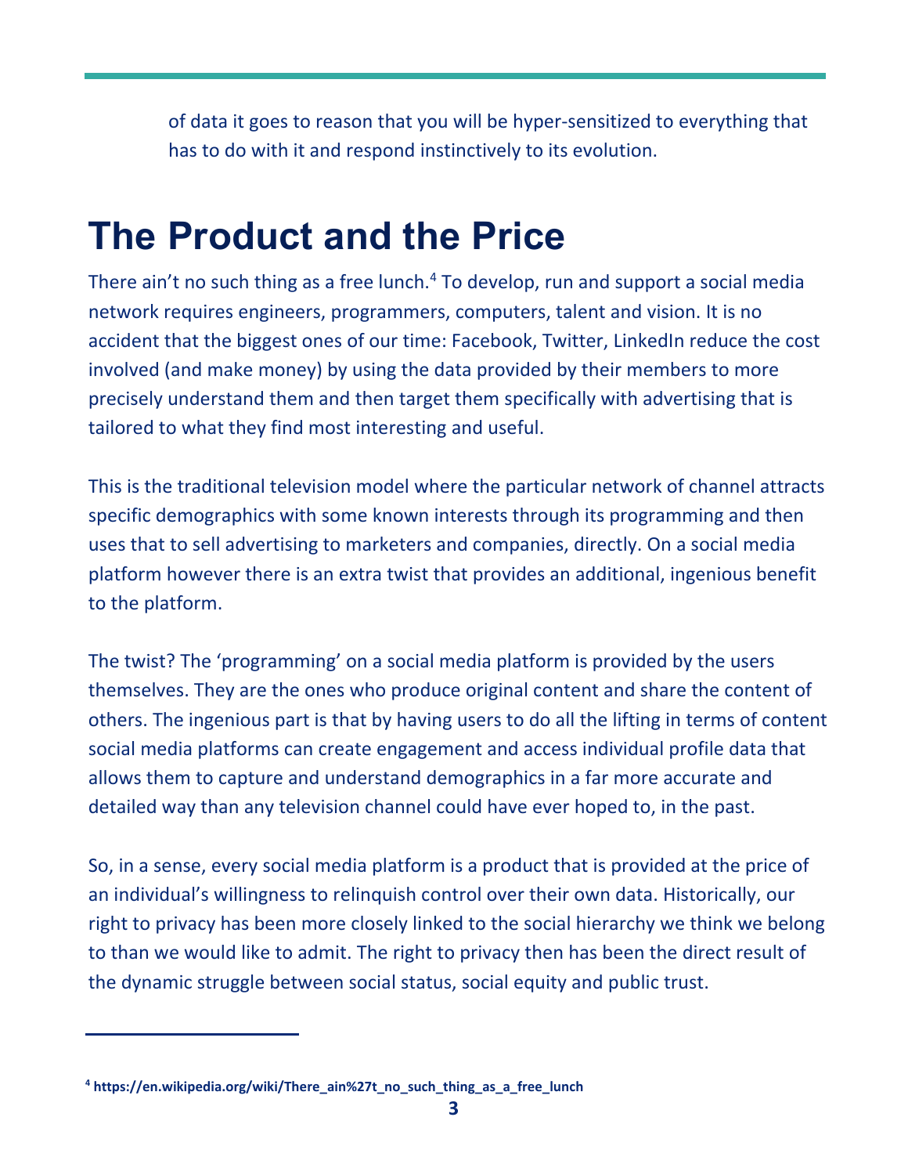of data it goes to reason that you will be hyper‐sensitized to everything that has to do with it and respond instinctively to its evolution.

### **The Product and the Price**

There ain't no such thing as a free lunch.<sup>4</sup> To develop, run and support a social media network requires engineers, programmers, computers, talent and vision. It is no accident that the biggest ones of our time: Facebook, Twitter, LinkedIn reduce the cost involved (and make money) by using the data provided by their members to more precisely understand them and then target them specifically with advertising that is tailored to what they find most interesting and useful.

This is the traditional television model where the particular network of channel attracts specific demographics with some known interests through its programming and then uses that to sell advertising to marketers and companies, directly. On a social media platform however there is an extra twist that provides an additional, ingenious benefit to the platform.

The twist? The 'programming' on a social media platform is provided by the users themselves. They are the ones who produce original content and share the content of others. The ingenious part is that by having users to do all the lifting in terms of content social media platforms can create engagement and access individual profile data that allows them to capture and understand demographics in a far more accurate and detailed way than any television channel could have ever hoped to, in the past.

So, in a sense, every social media platform is a product that is provided at the price of an individual's willingness to relinquish control over their own data. Historically, our right to privacy has been more closely linked to the social hierarchy we think we belong to than we would like to admit. The right to privacy then has been the direct result of the dynamic struggle between social status, social equity and public trust.

**<sup>4</sup>  [https://en.wikipedia.org/wiki/There\\_ain%27t\\_no\\_such\\_thing\\_as\\_a\\_free\\_lunch](https://en.wikipedia.org/wiki/There_ain%27t_no_such_thing_as_a_free_lunch)**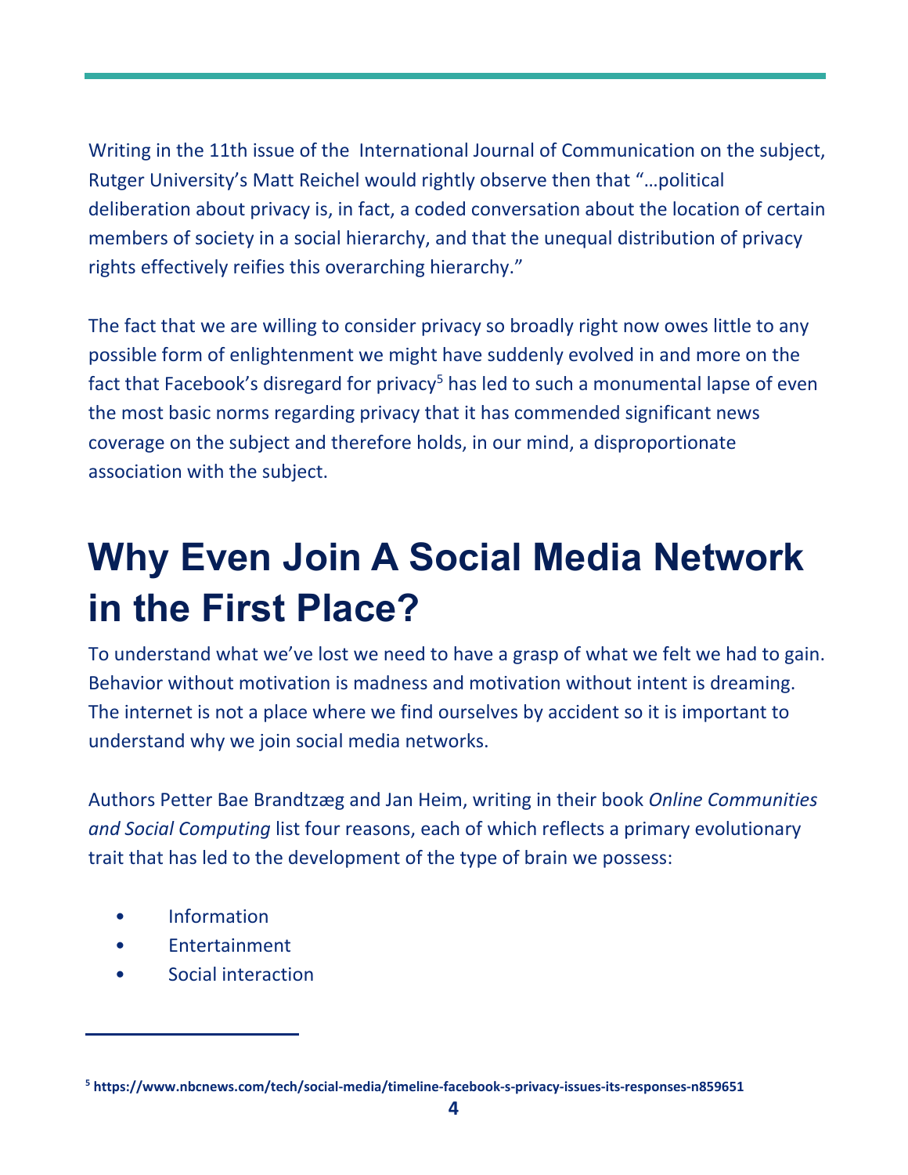Writing in the 11th issue of the International Journal of Communication on the subject, Rutger University's Matt Reichel would rightly observe then that "…political deliberation about privacy is, in fact, a coded conversation about the location of certain members of society in a social hierarchy, and that the unequal distribution of privacy rights effectively reifies this overarching hierarchy."

The fact that we are willing to consider privacy so broadly right now owes little to any possible form of enlightenment we might have suddenly evolved in and more on the fact that Facebook's disregard for privacy<sup>5</sup> has led to such a monumental lapse of even the most basic norms regarding privacy that it has commended significant news coverage on the subject and therefore holds, in our mind, a disproportionate association with the subject.

# **Why Even Join A Social Media Network in the First Place?**

To understand what we've lost we need to have a grasp of what we felt we had to gain. Behavior without motivation is madness and motivation without intent is dreaming. The internet is not a place where we find ourselves by accident so it is important to understand why we join social media networks.

Authors Petter Bae Brandtzæg and Jan Heim, writing in their book *[Online Communities](https://www.researchgate.net/publication/221095501_Why_People_Use_Social_Networking_Sites)  [and Social Computing](https://www.researchgate.net/publication/221095501_Why_People_Use_Social_Networking_Sites)* list four reasons, each of which reflects a primary evolutionary trait that has led to the development of the type of brain we possess:

**Information** 

- **Entertainment**
- Social interaction

**<sup>5</sup>  [https://www.nbcnews.com/tech/social‐media/timeline‐facebook‐s‐privacy‐issues‐its‐responses‐n859651](https://www.nbcnews.com/tech/social%E2%80%90media/timeline%E2%80%90facebook%E2%80%90s%E2%80%90privacy%E2%80%90issues%E2%80%90its%E2%80%90responses%E2%80%90n859651)**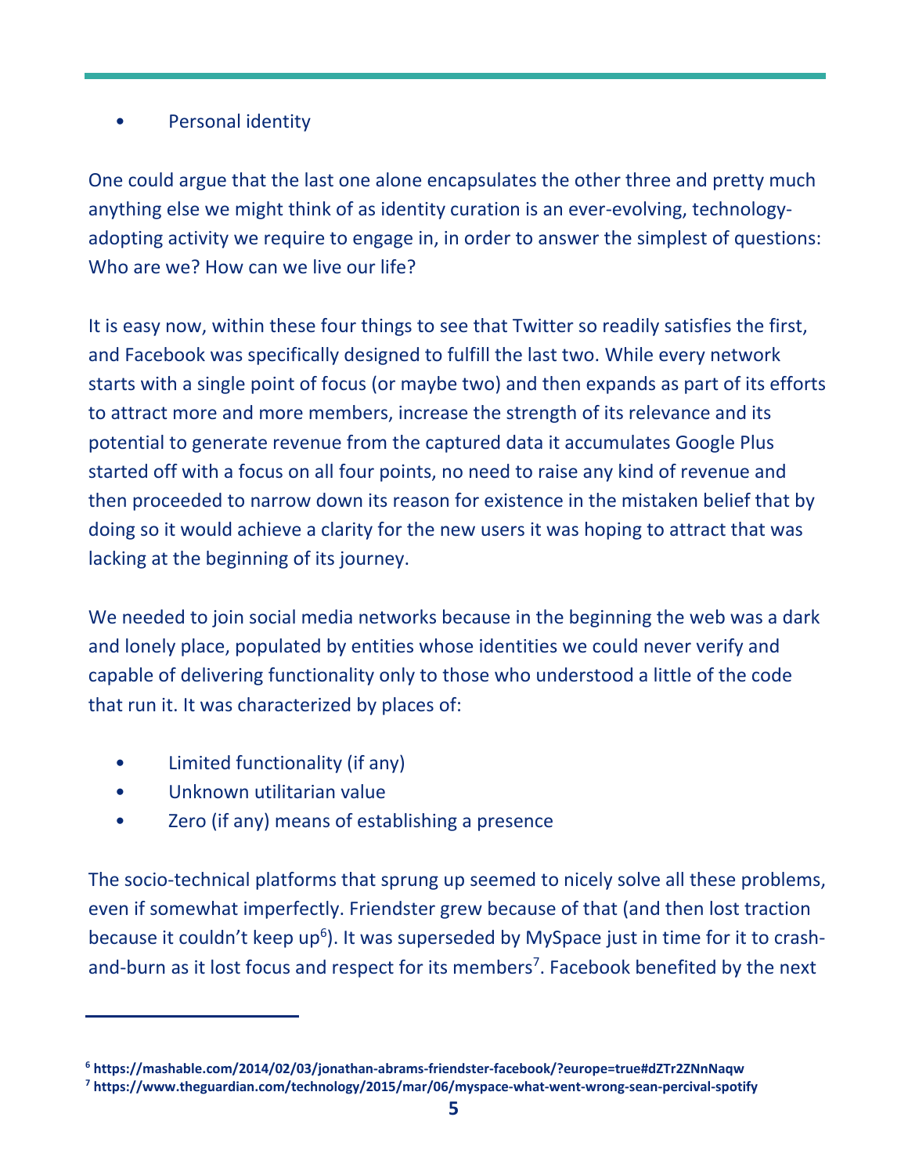#### Personal identity

One could argue that the last one alone encapsulates the other three and pretty much anything else we might think of as identity curation is an ever-evolving, technologyadopting activity we require to engage in, in order to answer the simplest of questions: Who are we? How can we live our life?

It is easy now, within these four things to see that Twitter so readily satisfies the first, and Facebook was specifically designed to fulfill the last two. While every network starts with a single point of focus (or maybe two) and then expands as part of its efforts to attract more and more members, increase the strength of its relevance and its potential to generate revenue from the captured data it accumulates Google Plus started off with a focus on all four points, no need to raise any kind of revenue and then proceeded to narrow down its reason for existence in the mistaken belief that by doing so it would achieve a clarity for the new users it was hoping to attract that was lacking at the beginning of its journey.

We needed to join social media networks because in the beginning the web was a dark and lonely place, populated by entities whose identities we could never verify and capable of delivering functionality only to those who understood a little of the code that run it. It was characterized by places of:

- Limited functionality (if any)
- Unknown utilitarian value

Zero (if any) means of establishing a presence

The socio-technical platforms that sprung up seemed to nicely solve all these problems, even if somewhat imperfectly. Friendster grew because of that (and then lost traction because it couldn't keep up<sup>6</sup>). It was superseded by MySpace just in time for it to crashand-burn as it lost focus and respect for its members<sup>7</sup>. Facebook benefited by the next

**<sup>6</sup>  [https://mashable.com/2014/02/03/jonathan‐abrams‐friendster‐facebook/?europe=true#dZTr2ZNnNaqw](https://mashable.com/2014/02/03/jonathan%E2%80%90abrams%E2%80%90friendster%E2%80%90facebook/?europe=true#dZTr2ZNnNaqw)** 

**<sup>7</sup>  [https://www.theguardian.com/technology/2015/mar/06/myspace‐what‐went‐wrong‐sean‐percival‐spotify](https://www.theguardian.com/technology/2015/mar/06/myspace%E2%80%90what%E2%80%90went%E2%80%90wrong%E2%80%90sean%E2%80%90percival%E2%80%90spotify)**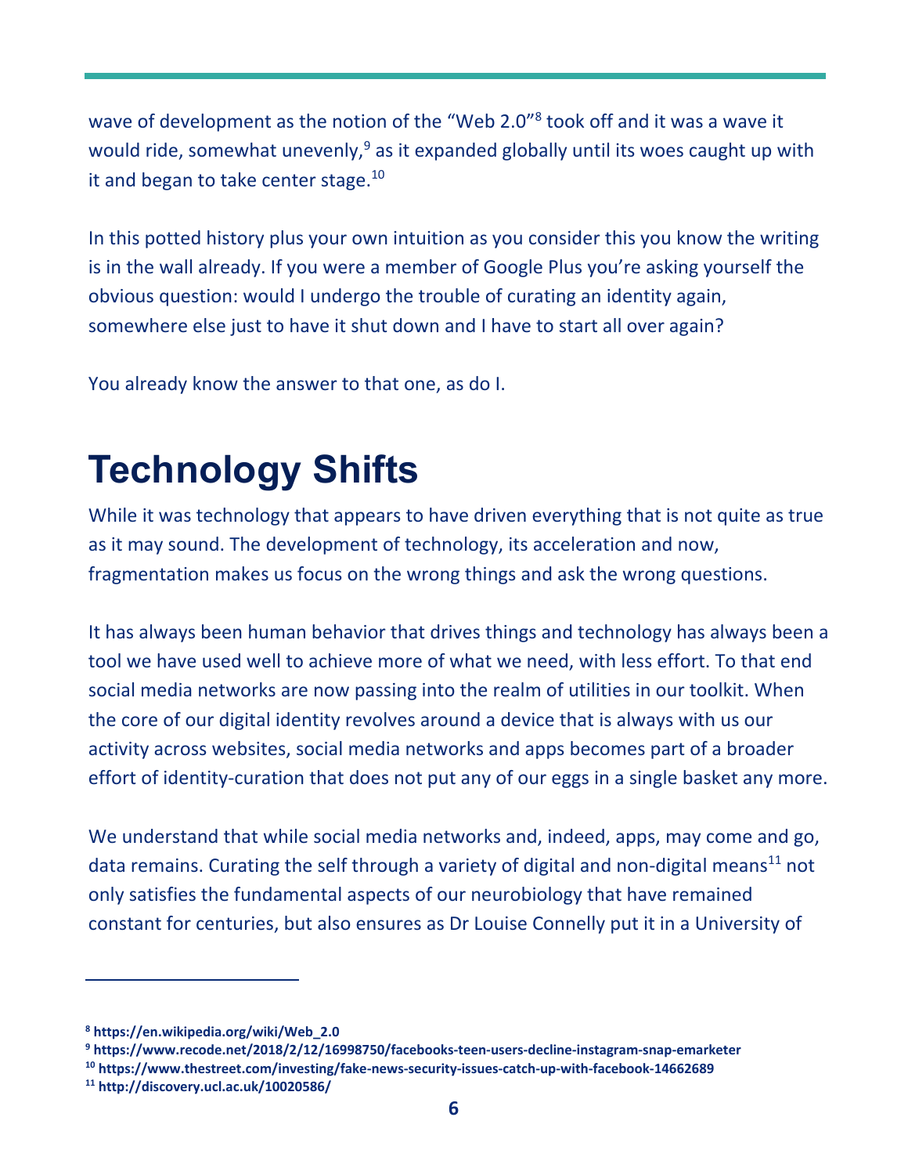wave of development as the notion of the "Web 2.0"<sup>8</sup> took off and it was a wave it would ride, somewhat unevenly,<sup>9</sup> as it expanded globally until its woes caught up with it and began to take center stage.<sup>10</sup>

In this potted history plus your own intuition as you consider this you know the writing is in the wall already. If you were a member of Google Plus you're asking yourself the obvious question: would I undergo the trouble of curating an identity again, somewhere else just to have it shut down and I have to start all over again?

You already know the answer to that one, as do I.

### **Technology Shifts**

While it was technology that appears to have driven everything that is not quite as true as it may sound. The development of technology, its acceleration and now, fragmentation makes us focus on the wrong things and ask the wrong questions.

It has always been human behavior that drives things and technology has always been a tool we have used well to achieve more of what we need, with less effort. To that end social media networks are now passing into the realm of utilities in our toolkit. When the core of our digital identity revolves around a device that is always with us our activity across websites, social media networks and apps becomes part of a broader effort of identity-curation that does not put any of our eggs in a single basket any more.

We understand that while social media networks and, indeed, apps, may come and go, data remains. Curating the self through a variety of digital and non-digital means<sup>11</sup> not only satisfies the fundamental aspects of our neurobiology that have remained constant for centuries, but also ensures as Dr Louise Connelly put it in a University of

**9  [https://www.recode.net/2018/2/12/16998750/facebooks‐teen‐users‐decline‐instagram‐snap‐emarketer](https://www.recode.net/2018/2/12/16998750/facebooks%E2%80%90teen%E2%80%90users%E2%80%90decline%E2%80%90instagram%E2%80%90snap%E2%80%90emarketer)** 

**<sup>8</sup>  [https://en.wikipedia.org/wiki/Web\\_2.0](https://en.wikipedia.org/wiki/Web_2.0)** 

**<sup>10</sup> [https://www.thestreet.com/investing/fake‐news‐security‐issues‐catch‐up‐with‐facebook‐14662689](https://www.thestreet.com/investing/fake%E2%80%90news%E2%80%90security%E2%80%90issues%E2%80%90catch%E2%80%90up%E2%80%90with%E2%80%90facebook%E2%80%9014662689)** 

**<sup>11</sup><http://discovery.ucl.ac.uk/10020586/>**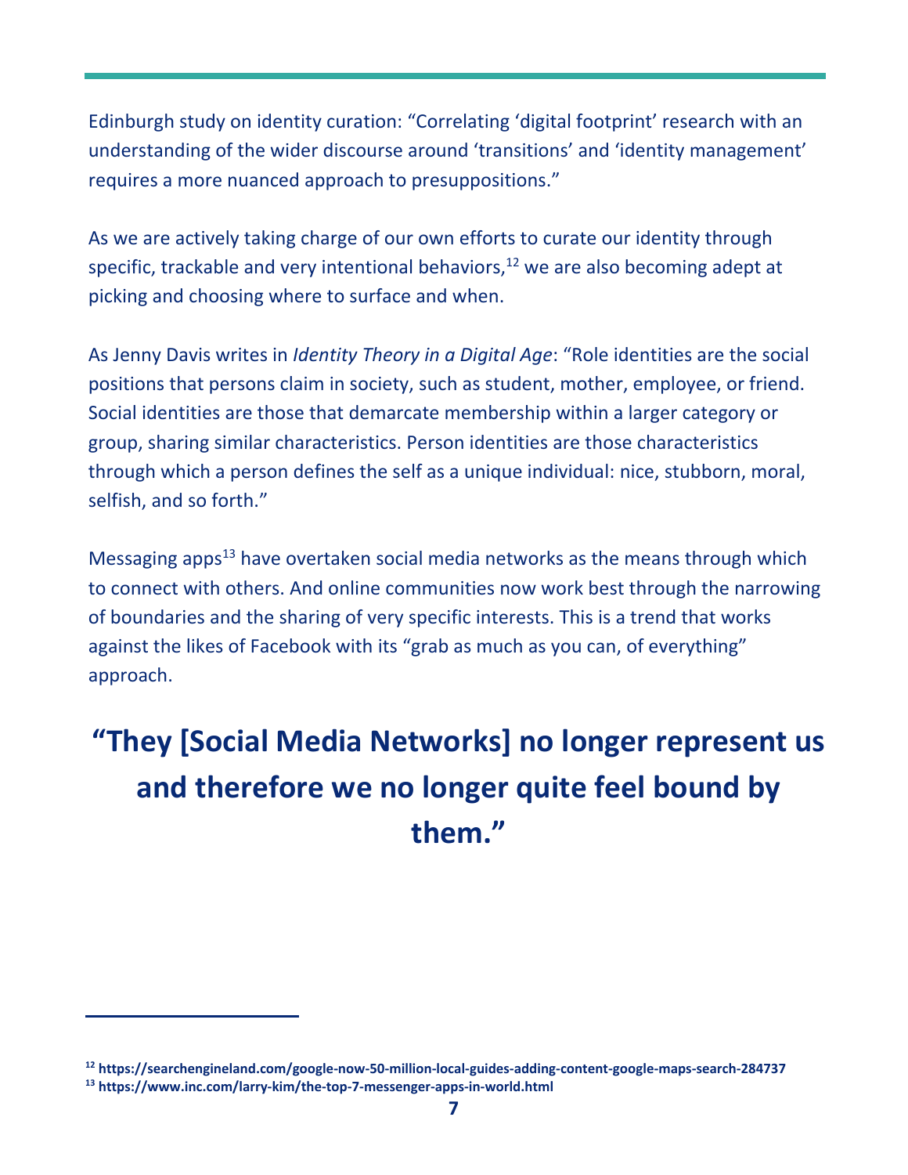Edinburgh study on identity curation: "Correlating 'digital footprint' research with an understanding of the wider discourse around 'transitions' and 'identity management' requires a more nuanced approach to presuppositions."

As we are actively taking charge of our own efforts to curate our identity through specific, trackable and very intentional behaviors, $12$  we are also becoming adept at picking and choosing where to surface and when.

As Jenny Davis writes in *[Identity Theory in a Digital Age](https://www.researchgate.net/publication/306303054_Identity_Theory_in_a_Digital_Age)*: "Role identities are the social positions that persons claim in society, such as student, mother, employee, or friend. Social identities are those that demarcate membership within a larger category or group, sharing similar characteristics. Person identities are those characteristics through which a person defines the self as a unique individual: nice, stubborn, moral, selfish, and so forth."

Messaging apps $<sup>13</sup>$  have overtaken social media networks as the means through which</sup> to connect with others. And online communities now work best through the narrowing of boundaries and the sharing of very specific interests. This is a trend that works against the likes of Facebook with its "grab as much as you can, of everything" approach.

### **"They [Social Media Networks] no longer represent us and therefore we no longer quite feel bound by them."**

**<sup>12</sup> [https://searchengineland.com/google‐now‐50‐million‐local‐guides‐adding‐content‐google‐maps‐search‐284737](https://searchengineland.com/google%E2%80%90now%E2%80%9050%E2%80%90million%E2%80%90local%E2%80%90guides%E2%80%90adding%E2%80%90content%E2%80%90google%E2%80%90maps%E2%80%90search%E2%80%90284737)  13 [https://www.inc.com/larry‐kim/the‐top‐7‐messenger‐apps‐in‐world.html](https://www.inc.com/larry%E2%80%90kim/the%E2%80%90top%E2%80%907%E2%80%90messenger%E2%80%90apps%E2%80%90in%E2%80%90world.html)**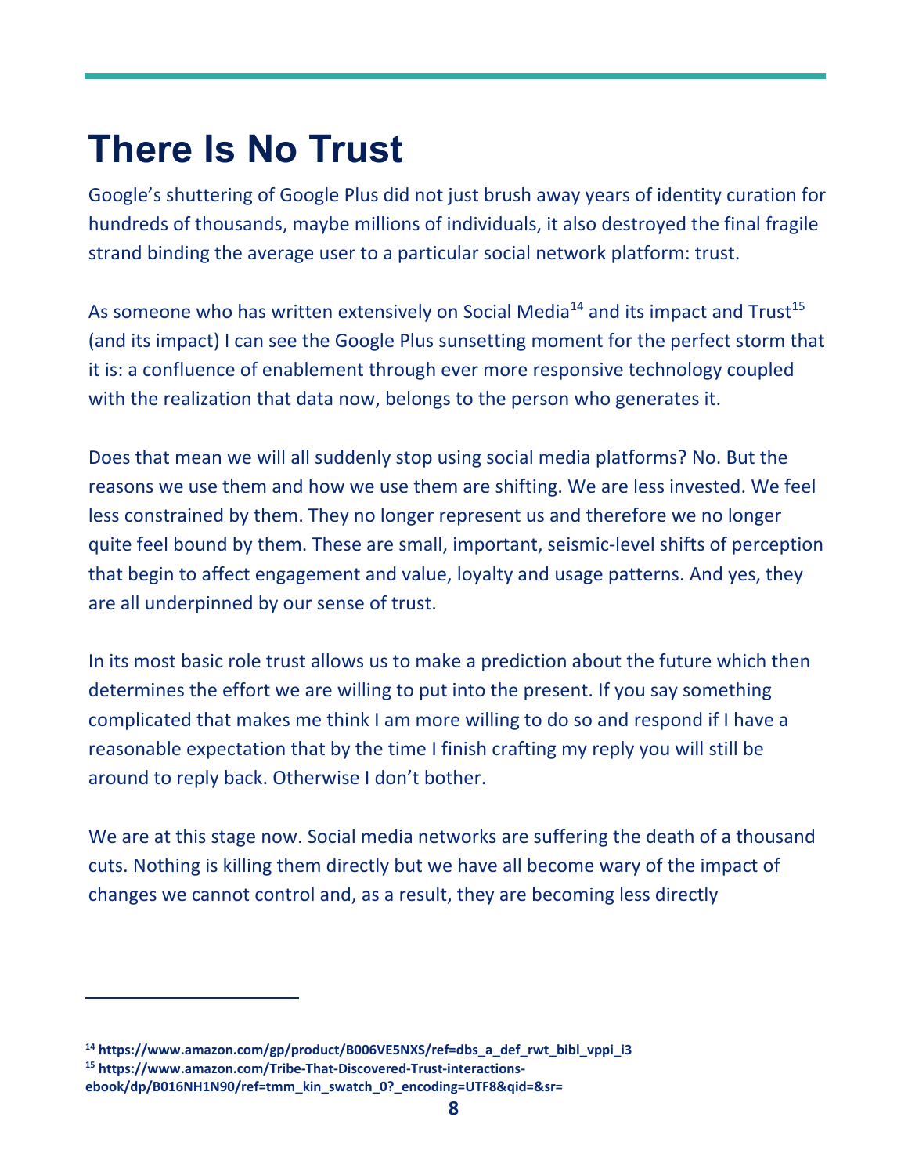### **There Is No Trust**

Google's shuttering of Google Plus did not just brush away years of identity curation for hundreds of thousands, maybe millions of individuals, it also destroyed the final fragile strand binding the average user to a particular social network platform: trust.

As someone who has written extensively on Social Media<sup>14</sup> and its impact and Trust<sup>15</sup> (and its impact) I can see the Google Plus sunsetting moment for the perfect storm that it is: a confluence of enablement through ever more responsive technology coupled with the realization that data now, belongs to the person who generates it.

Does that mean we will all suddenly stop using social media platforms? No. But the reasons we use them and how we use them are shifting. We are less invested. We feel less constrained by them. They no longer represent us and therefore we no longer quite feel bound by them. These are small, important, seismic‐level shifts of perception that begin to affect engagement and value, loyalty and usage patterns. And yes, they are all underpinned by our sense of trust.

In its most basic role trust allows us to make a prediction about the future which then determines the effort we are willing to put into the present. If you say something complicated that makes me think I am more willing to do so and respond if I have a reasonable expectation that by the time I finish crafting my reply you will still be around to reply back. Otherwise I don't bother.

We are at this stage now. Social media networks are suffering the death of a thousand cuts. Nothing is killing them directly but we have all become wary of the impact of changes we cannot control and, as a result, they are becoming less directly

**<sup>14</sup> [https://www.amazon.com/gp/product/B006VE5NXS/ref=dbs\\_a\\_def\\_rwt\\_bibl\\_vppi\\_i3](https://www.amazon.com/gp/product/B006VE5NXS/ref=dbs_a_def_rwt_bibl_vppi_i3)  [15 https://www.amazon.com/Tribe‐That‐Discovered‐Trust‐interactions‐](https://www.amazon.com/Tribe%E2%80%90That%E2%80%90Discovered%E2%80%90Trust%E2%80%90interactions%E2%80%90ebook/dp/B016NH1N90/ref=tmm_kin_swatch_0?_encoding=UTF8&qid=&sr=)**

**ebook/[dp/B016NH1N90/ref=tmm\\_kin\\_swatch\\_0?\\_encoding=UTF8&qid=&sr=](https://www.amazon.com/Tribe%E2%80%90That%E2%80%90Discovered%E2%80%90Trust%E2%80%90interactions%E2%80%90ebook/dp/B016NH1N90/ref=tmm_kin_swatch_0?_encoding=UTF8&qid=&sr=)**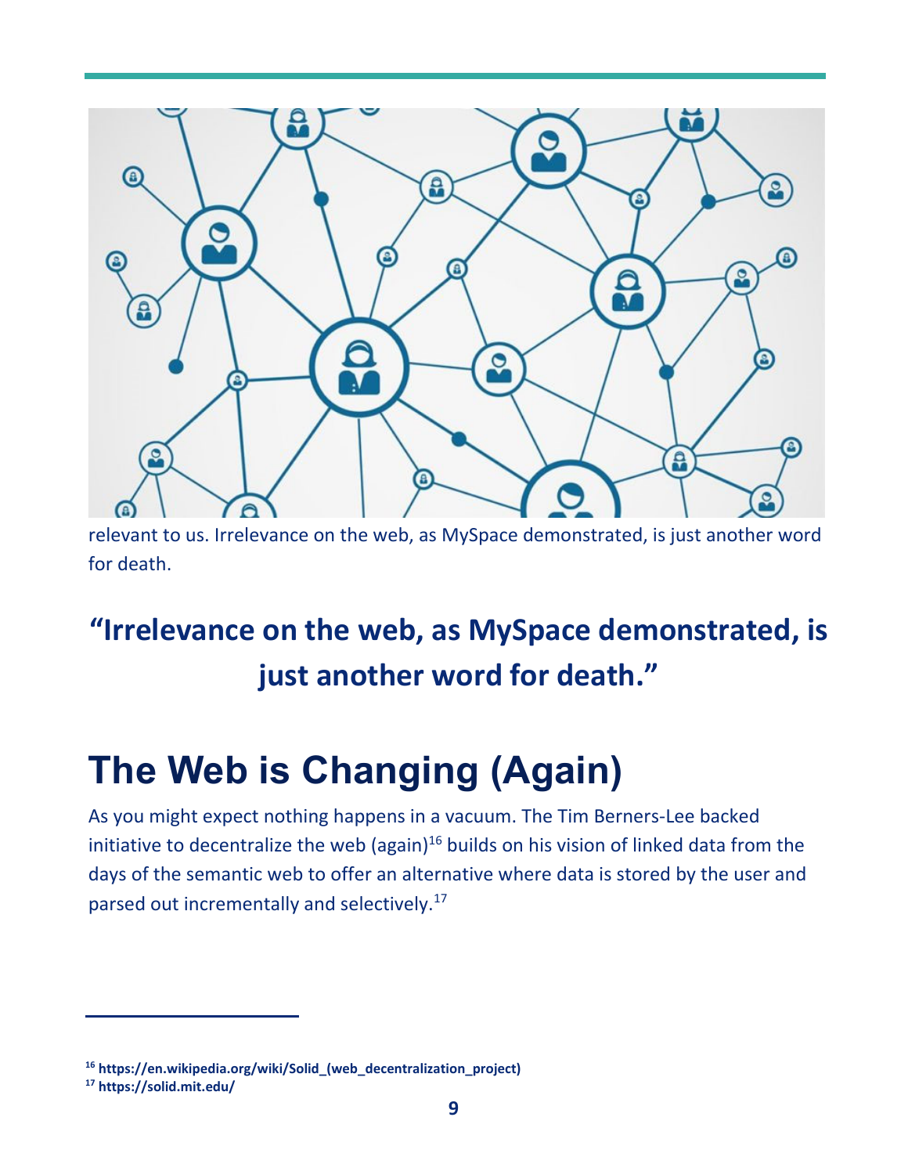

relevant to us. Irrelevance on the web, as MySpace demonstrated, is just another word for death.

### **"Irrelevance on the web, as MySpace demonstrated, is just another word for death."**

## **The Web is Changing (Again)**

As you might expect nothing happens in a vacuum. The Tim Berners‐Lee backed initiative to decentralize the web (again) $16$  builds on his vision of linked data from the days of the semantic web to offer an alternative where data is stored by the user and parsed out incrementally and selectively.<sup>17</sup>

**<sup>16</sup> [https://en.wikipedia.org/wiki/Solid\\_\(we](https://en.wikipedia.org/wiki/Solid_)b\_decentralization\_project)** 

**<sup>17</sup><https://solid.mit.edu/>**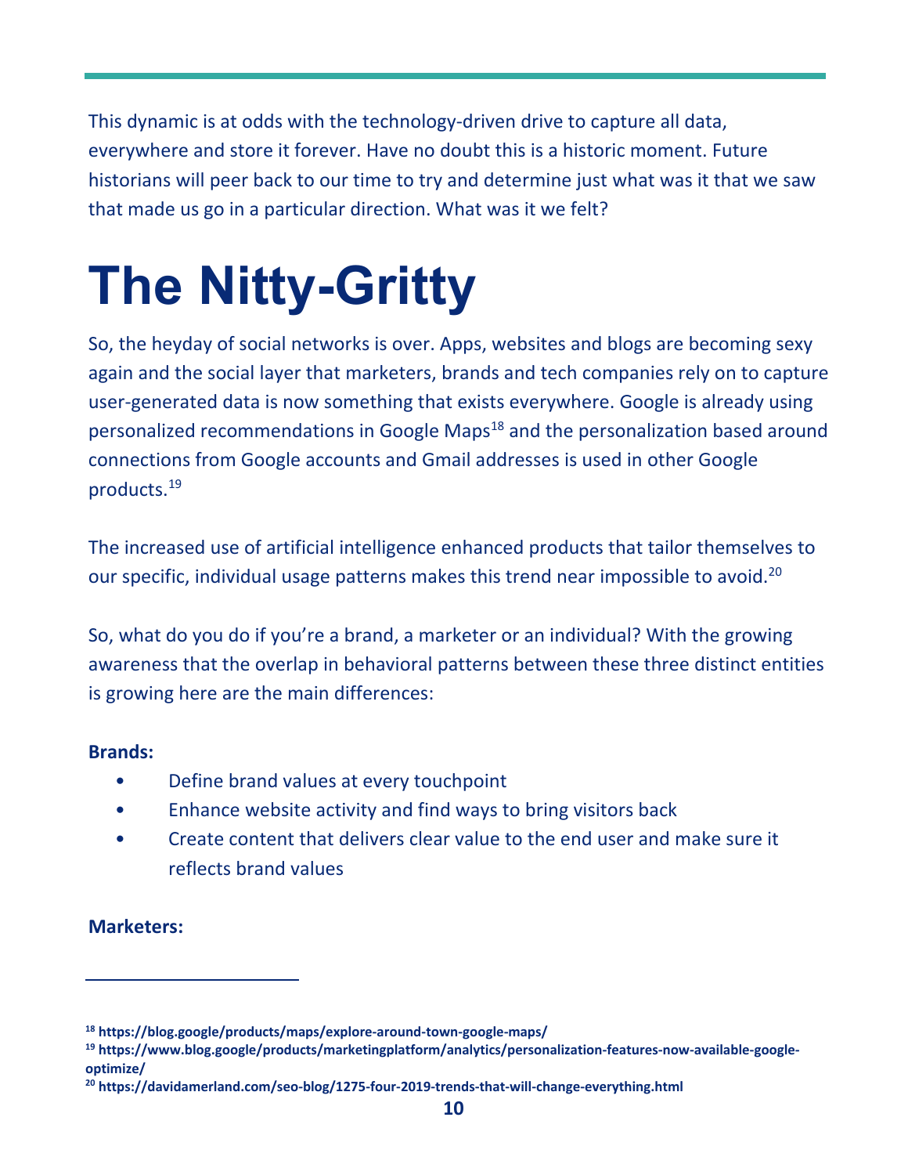This dynamic is at odds with the technology-driven drive to capture all data, everywhere and store it forever. Have no doubt this is a historic moment. Future historians will peer back to our time to try and determine just what was it that we saw that made us go in a particular direction. What was it we felt?

# **The Nitty-Gritty**

So, the heyday of social networks is over. Apps, websites and blogs are becoming sexy again and the social layer that marketers, brands and tech companies rely on to capture user‐generated data is now something that exists everywhere. Google is already using personalized recommendations in Google Maps<sup>18</sup> and the personalization based around connections from Google accounts and Gmail addresses is used in other Google products.19

The increased use of artificial intelligence enhanced products that tailor themselves to our specific, individual usage patterns makes this trend near impossible to avoid.<sup>20</sup>

So, what do you do if you're a brand, a marketer or an individual? With the growing awareness that the overlap in behavioral patterns between these three distinct entities is growing here are the main differences:

#### **Brands:**

- Define brand values at every touchpoint
- Enhance website activity and find ways to bring visitors back
- Create content that delivers clear value to the end user and make sure it reflects brand values

### **Marketers:**

**<sup>18</sup> [https://blog.google/products/maps/explore‐around‐town‐google‐maps/](https://blog.google/products/maps/explore%E2%80%90around%E2%80%90town%E2%80%90google%E2%80%90maps/)** 

**[<sup>19</sup> https://www.blog.google/products/marketingplatform/analytics/personalization‐features‐now‐available‐google‐](https://www.blog.google/products/marketingplatform/analytics/personalization%E2%80%90features%E2%80%90now%E2%80%90available%E2%80%90google%E2%80%90optimize/20) optimize/** 

**[<sup>20</sup>](https://www.blog.google/products/marketingplatform/analytics/personalization%E2%80%90features%E2%80%90now%E2%80%90available%E2%80%90google%E2%80%90optimize/20) [https://davidamerland.com/seo‐blog/1275‐four‐2019‐trends‐that‐will‐change‐everything.html](https://davidamerland.com/seo%E2%80%90blog/1275%E2%80%90four%E2%80%902019%E2%80%90trends%E2%80%90that%E2%80%90will%E2%80%90change%E2%80%90everything.html)**